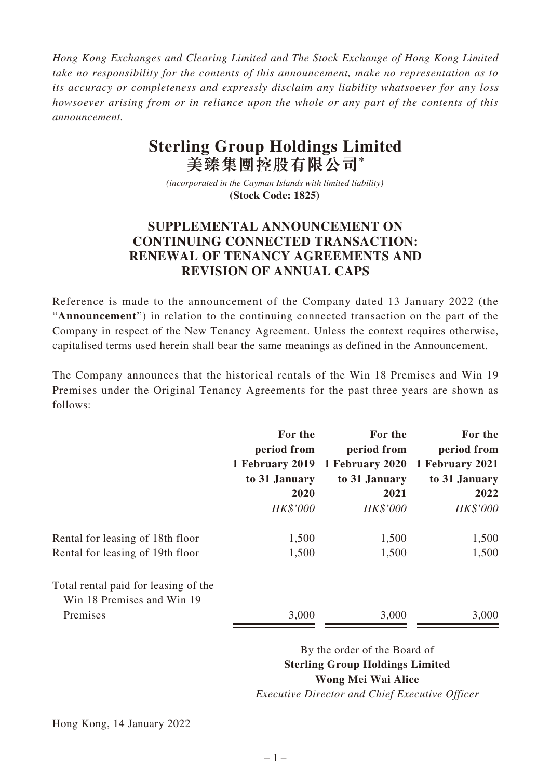*Hong Kong Exchanges and Clearing Limited and The Stock Exchange of Hong Kong Limited take no responsibility for the contents of this announcement, make no representation as to its accuracy or completeness and expressly disclaim any liability whatsoever for any loss howsoever arising from or in reliance upon the whole or any part of the contents of this announcement.*

## **Sterling Group Holdings Limited 美臻集團控股有限公司\***

*(incorporated in the Cayman Islands with limited liability)*  **(Stock Code: 1825)** 

## **SUPPLEMENTAL ANNOUNCEMENT ON CONTINUING CONNECTED TRANSACTION: RENEWAL OF TENANCY AGREEMENTS AND REVISION OF ANNUAL CAPS**

Reference is made to the announcement of the Company dated 13 January 2022 (the "**Announcement**") in relation to the continuing connected transaction on the part of the Company in respect of the New Tenancy Agreement. Unless the context requires otherwise, capitalised terms used herein shall bear the same meanings as defined in the Announcement.

The Company announces that the historical rentals of the Win 18 Premises and Win 19 Premises under the Original Tenancy Agreements for the past three years are shown as follows:

|                                                                    | For the<br>period from<br>1 February 2019 | For the<br>period from<br>1 February 2020 | For the<br>period from<br>1 February 2021 |
|--------------------------------------------------------------------|-------------------------------------------|-------------------------------------------|-------------------------------------------|
|                                                                    | to 31 January                             | to 31 January                             | to 31 January                             |
|                                                                    | 2020                                      | 2021                                      | 2022                                      |
|                                                                    | HK\$'000                                  | HK\$'000                                  | HK\$'000                                  |
| Rental for leasing of 18th floor                                   | 1,500                                     | 1,500                                     | 1,500                                     |
| Rental for leasing of 19th floor                                   | 1,500                                     | 1,500                                     | 1,500                                     |
| Total rental paid for leasing of the<br>Win 18 Premises and Win 19 |                                           |                                           |                                           |
| Premises                                                           | 3,000                                     | 3,000                                     | 3,000                                     |
|                                                                    |                                           |                                           |                                           |

By the order of the Board of **Sterling Group Holdings Limited Wong Mei Wai Alice** *Executive Director and Chief Executive Officer*